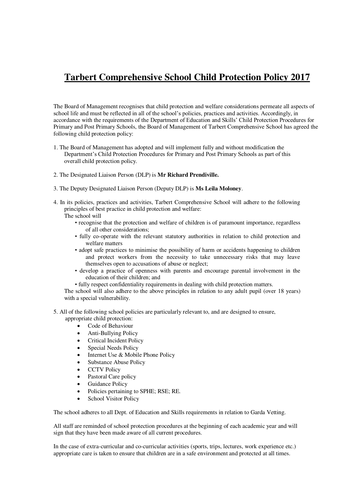## **Tarbert Comprehensive School Child Protection Policy 2017**

The Board of Management recognises that child protection and welfare considerations permeate all aspects of school life and must be reflected in all of the school's policies, practices and activities. Accordingly, in accordance with the requirements of the Department of Education and Skills' Child Protection Procedures for Primary and Post Primary Schools, the Board of Management of Tarbert Comprehensive School has agreed the following child protection policy:

- 1. The Board of Management has adopted and will implement fully and without modification the Department's Child Protection Procedures for Primary and Post Primary Schools as part of this overall child protection policy.
- 2. The Designated Liaison Person (DLP) is **Mr Richard Prendiville.**
- 3. The Deputy Designated Liaison Person (Deputy DLP) is **Ms Leila Moloney**.
- 4. In its policies, practices and activities, Tarbert Comprehensive School will adhere to the following principles of best practice in child protection and welfare:
	- The school will
		- recognise that the protection and welfare of children is of paramount importance, regardless of all other considerations;
		- fully co-operate with the relevant statutory authorities in relation to child protection and welfare matters
		- adopt safe practices to minimise the possibility of harm or accidents happening to children and protect workers from the necessity to take unnecessary risks that may leave themselves open to accusations of abuse or neglect;
		- develop a practice of openness with parents and encourage parental involvement in the education of their children; and
		- fully respect confidentiality requirements in dealing with child protection matters.

The school will also adhere to the above principles in relation to any adult pupil (over 18 years) with a special vulnerability.

5. All of the following school policies are particularly relevant to, and are designed to ensure, appropriate child protection:

- Code of Behaviour
- Anti-Bullying Policy
- Critical Incident Policy
- Special Needs Policy
- Internet Use & Mobile Phone Policy
- Substance Abuse Policy
- CCTV Policy
- Pastoral Care policy
- Guidance Policy
- Policies pertaining to SPHE; RSE; RE.
- School Visitor Policy

The school adheres to all Dept. of Education and Skills requirements in relation to Garda Vetting.

All staff are reminded of school protection procedures at the beginning of each academic year and will sign that they have been made aware of all current procedures.

In the case of extra-curricular and co-curricular activities (sports, trips, lectures, work experience etc.) appropriate care is taken to ensure that children are in a safe environment and protected at all times.